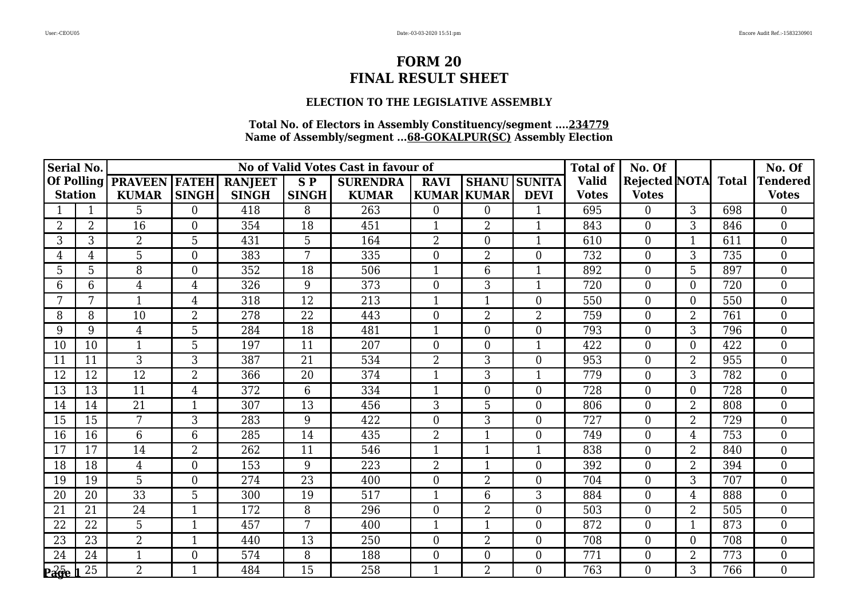### **ELECTION TO THE LEGISLATIVE ASSEMBLY**

| Serial No.         |                |                      |                          |                |                 | No of Valid Votes Cast in favour of |                |                    | <b>Total of</b>     | No. Of       |                     |                | No. Of |                  |
|--------------------|----------------|----------------------|--------------------------|----------------|-----------------|-------------------------------------|----------------|--------------------|---------------------|--------------|---------------------|----------------|--------|------------------|
| Of Polling         |                | <b>PRAVEEN FATEH</b> |                          | <b>RANJEET</b> | SP <sub></sub>  | <b>SURENDRA</b>                     | <b>RAVI</b>    |                    | <b>SHANU SUNITA</b> | <b>Valid</b> | Rejected NOTA Total |                |        | <b>Tendered</b>  |
| <b>Station</b>     |                | <b>KUMAR</b>         | <b>SINGH</b>             | <b>SINGH</b>   | <b>SINGH</b>    | <b>KUMAR</b>                        |                | <b>KUMAR KUMAR</b> | <b>DEVI</b>         | <b>Votes</b> | <b>Votes</b>        |                |        | <b>Votes</b>     |
|                    | 1              | 5                    | $\Omega$                 | 418            | 8               | 263                                 | $\overline{0}$ | $\overline{0}$     | 1                   | 695          | $\overline{0}$      | $\mathbf{3}$   | 698    | $\Omega$         |
| $\overline{2}$     | $\overline{2}$ | 16                   | $\mathbf{0}$             | 354            | 18              | 451                                 |                | $\overline{2}$     | 1                   | 843          | $\boldsymbol{0}$    | 3              | 846    | $\overline{0}$   |
| 3                  | 3              | $\overline{2}$       | 5                        | 431            | 5               | 164                                 | $\overline{2}$ | $\overline{0}$     | $\mathbf{1}$        | 610          | $\overline{0}$      | $\mathbf{1}$   | 611    | $\theta$         |
| 4                  | 4              | 5                    | $\theta$                 | 383            | 7               | 335                                 | $\overline{0}$ | $\overline{2}$     | $\overline{0}$      | 732          | $\boldsymbol{0}$    | 3              | 735    | $\overline{0}$   |
| 5                  | 5              | 8                    | $\overline{0}$           | 352            | 18              | 506                                 | $\mathbf{1}$   | 6                  | $\mathbf{1}$        | 892          | $\boldsymbol{0}$    | 5              | 897    | $\boldsymbol{0}$ |
| 6                  | 6              | $\overline{4}$       | $\overline{4}$           | 326            | 9               | 373                                 | $\overline{0}$ | 3                  | $\mathbf{1}$        | 720          | $\overline{0}$      | $\overline{0}$ | 720    | $\theta$         |
|                    |                |                      | 4                        | 318            | 12              | 213                                 |                |                    | $\overline{0}$      | 550          | $\boldsymbol{0}$    | 0              | 550    | $\theta$         |
| 8                  | 8              | 10                   | $\overline{2}$           | 278            | 22              | 443                                 | $\overline{0}$ | $\overline{2}$     | $\overline{2}$      | 759          | $\boldsymbol{0}$    | $\overline{2}$ | 761    | $\overline{0}$   |
| 9                  | 9              | $\overline{4}$       | 5                        | 284            | 18              | 481                                 | $\mathbf{1}$   | $\Omega$           | $\overline{0}$      | 793          | $\theta$            | 3              | 796    | $\Omega$         |
| 10                 | 10             |                      | 5                        | 197            | 11              | 207                                 | $\Omega$       | $\Omega$           |                     | 422          | $\overline{0}$      | 0              | 422    | $\theta$         |
| 11                 | 11             | 3                    | 3                        | 387            | 21              | 534                                 | $\overline{2}$ | 3                  | $\overline{0}$      | 953          | $\boldsymbol{0}$    | 2              | 955    | $\boldsymbol{0}$ |
| 12                 | 12             | 12                   | $\overline{2}$           | 366            | 20              | 374                                 | $\mathbf{1}$   | 3                  | $\mathbf{1}$        | 779          | $\overline{0}$      | 3              | 782    | $\theta$         |
| 13                 | 13             | 11                   | $\overline{4}$           | 372            | 6               | 334                                 | $\mathbf{1}$   | $\overline{0}$     | $\overline{0}$      | 728          | $\boldsymbol{0}$    | $\Omega$       | 728    | $\overline{0}$   |
| 14                 | 14             | 21                   | 1                        | 307            | $\overline{13}$ | 456                                 | $\overline{3}$ | 5                  | $\overline{0}$      | 806          | $\boldsymbol{0}$    | $\overline{2}$ | 808    | $\overline{0}$   |
| 15                 | 15             | $\overline{7}$       | 3                        | 283            | 9               | 422                                 | $\Omega$       | 3                  | $\overline{0}$      | 727          | $\overline{0}$      | $\overline{2}$ | 729    | $\theta$         |
| 16                 | 16             | 6                    | 6                        | 285            | 14              | 435                                 | $\overline{2}$ | $\mathbf{1}$       | $\overline{0}$      | 749          | $\overline{0}$      | $\overline{4}$ | 753    | $\overline{0}$   |
| 17                 | 17             | 14                   | $\overline{2}$           | 262            | 11              | 546                                 | $\mathbf{1}$   | $\mathbf{1}$       | $\mathbf{1}$        | 838          | $\boldsymbol{0}$    | $\overline{2}$ | 840    | $\overline{0}$   |
| 18                 | 18             | $\overline{4}$       | $\overline{0}$           | 153            | 9               | 223                                 | $\overline{2}$ |                    | $\overline{0}$      | 392          | $\boldsymbol{0}$    | $\overline{2}$ | 394    | $\theta$         |
| 19                 | 19             | 5                    | $\theta$                 | 274            | $\overline{23}$ | 400                                 | $\overline{0}$ | $\overline{2}$     | $\overline{0}$      | 704          | $\boldsymbol{0}$    | 3              | 707    | $\overline{0}$   |
| 20                 | 20             | $\overline{33}$      | 5                        | 300            | 19              | 517                                 | $\mathbf{1}$   | 6                  | 3                   | 884          | $\boldsymbol{0}$    | 4              | 888    | $\overline{0}$   |
| 21                 | 21             | 24                   | $\overline{\phantom{a}}$ | 172            | 8               | 296                                 | $\overline{0}$ | $\overline{2}$     | $\overline{0}$      | 503          | $\overline{0}$      | $\overline{2}$ | 505    | $\overline{0}$   |
| 22                 | 22             | 5                    | $\mathbf{1}$             | 457            | 7               | 400                                 | $\mathbf{1}$   | $\mathbf{1}$       | $\overline{0}$      | 872          | $\boldsymbol{0}$    | 1              | 873    | $\overline{0}$   |
| 23                 | 23             | $\overline{2}$       | $\mathbf 1$              | 440            | 13              | 250                                 | $\overline{0}$ | $\overline{2}$     | $\overline{0}$      | 708          | $\overline{0}$      | $\Omega$       | 708    | $\theta$         |
| 24                 | 24             | 1                    | $\theta$                 | 574            | 8               | 188                                 | $\overline{0}$ | $\theta$           | $\overline{0}$      | 771          | $\boldsymbol{0}$    | $\overline{2}$ | 773    | $\overline{0}$   |
| $P\overline{a}$ ge | 25             | $\overline{2}$       | 1                        | 484            | $\overline{15}$ | 258                                 |                | $\overline{2}$     | $\overline{0}$      | 763          | $\overline{0}$      | 3              | 766    | $\boldsymbol{0}$ |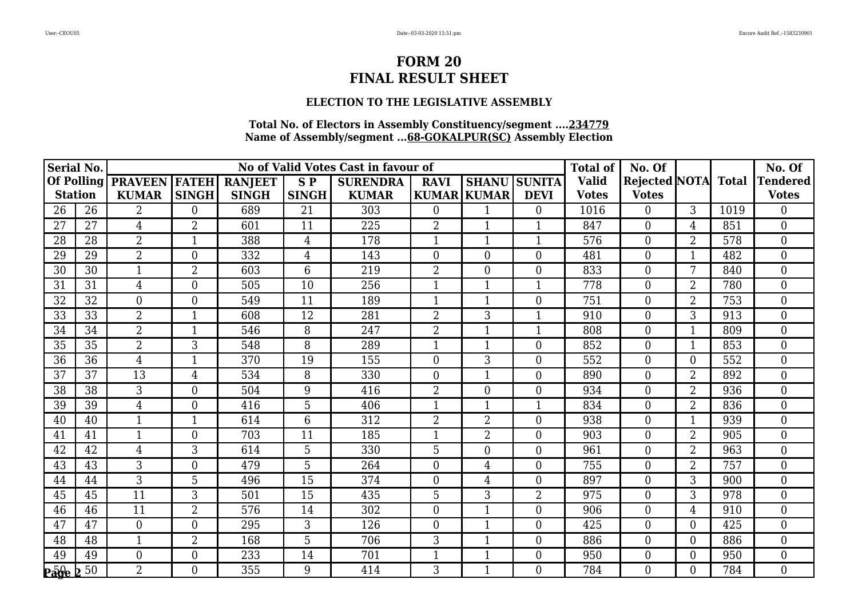### **ELECTION TO THE LEGISLATIVE ASSEMBLY**

| <b>Serial No.</b> |    |                |                |                | <b>Total of</b> | No. Of          |                  |                    | No. Of           |              |                     |                |      |                  |
|-------------------|----|----------------|----------------|----------------|-----------------|-----------------|------------------|--------------------|------------------|--------------|---------------------|----------------|------|------------------|
| <b>Of Polling</b> |    | <b>PRAVEEN</b> | <b>FATEH</b>   | <b>RANJEET</b> | <b>SP</b>       | <b>SURENDRA</b> | <b>RAVI</b>      | <b>SHANU</b>       | <b>SUNITA</b>    | <b>Valid</b> | Rejected NOTA Total |                |      | <b>Tendered</b>  |
| <b>Station</b>    |    | <b>KUMAR</b>   | <b>SINGH</b>   | <b>SINGH</b>   | <b>SINGH</b>    | <b>KUMAR</b>    |                  | <b>KUMAR KUMAR</b> | <b>DEVI</b>      | <b>Votes</b> | <b>Votes</b>        |                |      | <b>Votes</b>     |
| 26                | 26 | 2              | $\Omega$       | 689            | 21              | 303             | $\Omega$         |                    | $\Omega$         | 1016         | $\theta$            | $\mathbf{3}$   | 1019 | $\Omega$         |
| 27                | 27 | 4              | $\overline{2}$ | 601            | 11              | 225             | $\overline{2}$   |                    |                  | 847          | $\boldsymbol{0}$    | 4              | 851  | $\overline{0}$   |
| 28                | 28 | $\overline{2}$ | $\mathbf{1}$   | 388            | $\overline{4}$  | 178             | $\mathbf{1}$     | 1                  | $\mathbf 1$      | 576          | $\theta$            | $\overline{2}$ | 578  | $\theta$         |
| 29                | 29 | $\overline{2}$ | $\overline{0}$ | 332            | 4               | 143             | $\overline{0}$   | 0                  | $\overline{0}$   | 481          | $\boldsymbol{0}$    |                | 482  | $\overline{0}$   |
| 30                | 30 | $\mathbf{1}$   | $\overline{2}$ | 603            | 6               | 219             | $\overline{2}$   | 0                  | $\boldsymbol{0}$ | 833          | $\boldsymbol{0}$    | 7              | 840  | $\boldsymbol{0}$ |
| 31                | 31 | $\overline{4}$ | $\theta$       | 505            | 10              | 256             | $\mathbf{1}$     | $\mathbf{1}$       | $\mathbf{1}$     | 778          | $\overline{0}$      | $\overline{2}$ | 780  | $\theta$         |
| 32                | 32 | $\theta$       | $\theta$       | 549            | 11              | 189             |                  |                    | $\overline{0}$   | 751          | $\overline{0}$      | $\overline{2}$ | 753  | $\theta$         |
| 33                | 33 | $\overline{2}$ | 1              | 608            | 12              | 281             | $\overline{2}$   | 3                  |                  | 910          | $\boldsymbol{0}$    | $\overline{3}$ | 913  | $\overline{0}$   |
| 34                | 34 | $\overline{2}$ | $\mathbf{1}$   | 546            | 8               | 247             | $\overline{2}$   | $\mathbf{1}$       | $\mathbf{1}$     | 808          | $\theta$            | $\mathbf{1}$   | 809  | $\theta$         |
| 35                | 35 | $\overline{2}$ | 3              | 548            | 8               | 289             |                  |                    | $\overline{0}$   | 852          | $\overline{0}$      |                | 853  | $\theta$         |
| 36                | 36 | $\overline{4}$ | 1              | 370            | 19              | 155             | $\boldsymbol{0}$ | 3                  | $\overline{0}$   | 552          | $\boldsymbol{0}$    | $\Omega$       | 552  | $\boldsymbol{0}$ |
| 37                | 37 | 13             | 4              | 534            | 8               | 330             | $\theta$         | $\mathbf{1}$       | $\overline{0}$   | 890          | $\overline{0}$      | $\overline{2}$ | 892  | $\theta$         |
| 38                | 38 | 3              | $\overline{0}$ | 504            | 9               | 416             | $\overline{2}$   | $\overline{0}$     | $\overline{0}$   | 934          | $\overline{0}$      | $\overline{2}$ | 936  | $\overline{0}$   |
| 39                | 39 | $\overline{4}$ | $\overline{0}$ | 416            | $\overline{5}$  | 406             |                  |                    |                  | 834          | $\mathbf{0}$        | $\overline{2}$ | 836  | $\overline{0}$   |
| 40                | 40 | $\mathbf{1}$   | 1              | 614            | 6               | 312             | $\overline{2}$   | $\overline{2}$     | $\overline{0}$   | 938          | $\overline{0}$      | 1              | 939  | $\theta$         |
| 41                | 41 | 1              | $\theta$       | 703            | 11              | 185             | 1                | $\overline{2}$     | $\overline{0}$   | 903          | $\overline{0}$      | $\overline{2}$ | 905  | $\overline{0}$   |
| 42                | 42 | 4              | 3              | 614            | 5               | 330             | 5                | $\overline{0}$     | $\overline{0}$   | 961          | $\mathbf{0}$        | $\overline{2}$ | 963  | $\overline{0}$   |
| 43                | 43 | 3              | $\overline{0}$ | 479            | 5               | 264             | $\overline{0}$   | 4                  | $\overline{0}$   | 755          | $\boldsymbol{0}$    | $\overline{2}$ | 757  | $\overline{0}$   |
| 44                | 44 | 3              | 5              | 496            | 15              | 374             | $\Omega$         | $\overline{4}$     | $\overline{0}$   | 897          | $\boldsymbol{0}$    | 3              | 900  | $\overline{0}$   |
| 45                | 45 | 11             | 3              | 501            | 15              | 435             | 5                | 3                  | $\overline{2}$   | 975          | $\overline{0}$      | 3              | 978  | $\overline{0}$   |
| 46                | 46 | 11             | $\overline{2}$ | 576            | 14              | 302             | $\overline{0}$   |                    | $\overline{0}$   | 906          | $\overline{0}$      | $\overline{4}$ | 910  | $\overline{0}$   |
| 47                | 47 | $\overline{0}$ | $\theta$       | 295            | 3               | 126             | $\overline{0}$   | 1                  | $\overline{0}$   | 425          | $\boldsymbol{0}$    | 0              | 425  | $\overline{0}$   |
| 48                | 48 | $\mathbf{1}$   | $\overline{2}$ | 168            | 5               | 706             | 3                | $\mathbf{1}$       | $\overline{0}$   | 886          | $\overline{0}$      | 0              | 886  | $\theta$         |
| 49                | 49 | $\overline{0}$ | $\theta$       | 233            | 14              | 701             |                  |                    | $\overline{0}$   | 950          | $\mathbf{0}$        | $\Omega$       | 950  | $\overline{0}$   |
| <b>Page</b>       | 50 | $\overline{2}$ | $\theta$       | 355            | 9               | 414             | 3                |                    | $\overline{0}$   | 784          | $\overline{0}$      | 0              | 784  | $\overline{0}$   |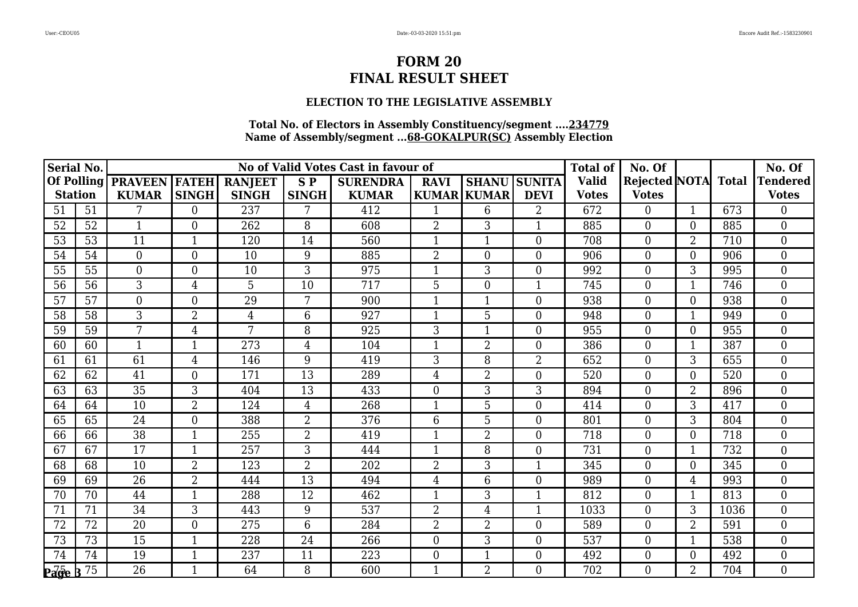### **ELECTION TO THE LEGISLATIVE ASSEMBLY**

| <b>Serial No.</b>        |    |                 |                  |                |                | No of Valid Votes Cast in favour of |                |                    |                  | <b>Total of</b> | No. Of              |                |      | No. Of           |
|--------------------------|----|-----------------|------------------|----------------|----------------|-------------------------------------|----------------|--------------------|------------------|-----------------|---------------------|----------------|------|------------------|
| <b>Of Polling</b>        |    | <b>PRAVEEN</b>  | <b>FATEH</b>     | <b>RANJEET</b> | <b>SP</b>      | <b>SURENDRA</b>                     | <b>RAVI</b>    | <b>SHANU</b>       | <b>SUNITA</b>    | <b>Valid</b>    | Rejected NOTA Total |                |      | <b>Tendered</b>  |
| <b>Station</b>           |    | <b>KUMAR</b>    | <b>SINGH</b>     | <b>SINGH</b>   | <b>SINGH</b>   | <b>KUMAR</b>                        |                | <b>KUMAR KUMAR</b> | <b>DEVI</b>      | <b>Votes</b>    | <b>Votes</b>        |                |      | <b>Votes</b>     |
| 51                       | 51 | 7               | $\Omega$         | 237            | 7              | 412                                 |                | 6                  | $\overline{2}$   | 672             | $\theta$            | $\mathbf{1}$   | 673  | $\Omega$         |
| 52                       | 52 | $\mathbf{1}$    | $\overline{0}$   | 262            | 8              | 608                                 | $\overline{2}$ | 3                  |                  | 885             | $\mathbf{0}$        | 0              | 885  | $\overline{0}$   |
| 53                       | 53 | 11              | $\mathbf{1}$     | 120            | 14             | 560                                 | $\mathbf{1}$   | $\mathbf{1}$       | $\Omega$         | 708             | $\theta$            | $\overline{2}$ | 710  | $\theta$         |
| 54                       | 54 | $\overline{0}$  | $\overline{0}$   | 10             | 9              | 885                                 | $\overline{2}$ | $\overline{0}$     | $\overline{0}$   | 906             | $\overline{0}$      | 0              | 906  | $\overline{0}$   |
| 55                       | 55 | $\overline{0}$  | $\boldsymbol{0}$ | 10             | 3              | 975                                 |                | 3                  | $\boldsymbol{0}$ | 992             | $\mathbf{0}$        | 3              | 995  | $\boldsymbol{0}$ |
| 56                       | 56 | 3               | 4                | 5              | 10             | 717                                 | 5              | $\overline{0}$     | $\mathbf{1}$     | 745             | $\overline{0}$      | $\mathbf{1}$   | 746  | $\theta$         |
| 57                       | 57 | $\overline{0}$  | $\theta$         | 29             | 7              | 900                                 |                |                    | $\overline{0}$   | 938             | $\overline{0}$      | 0              | 938  | $\theta$         |
| 58                       | 58 | 3               | $\overline{2}$   | $\overline{4}$ | 6              | 927                                 |                | 5                  | $\overline{0}$   | 948             | $\mathbf{0}$        | 1              | 949  | $\overline{0}$   |
| 59                       | 59 | $7\phantom{.0}$ | $\overline{4}$   | 7              | 8              | 925                                 | 3              | $\mathbf{1}$       | $\Omega$         | 955             | $\theta$            | $\Omega$       | 955  | $\theta$         |
| 60                       | 60 | $\mathbf{1}$    | -1               | 273            | 4              | 104                                 |                | 2                  | $\overline{0}$   | 386             | $\overline{0}$      |                | 387  | $\theta$         |
| 61                       | 61 | 61              | 4                | 146            | 9              | 419                                 | 3              | 8                  | $\overline{2}$   | 652             | $\boldsymbol{0}$    | 3              | 655  | $\boldsymbol{0}$ |
| 62                       | 62 | 41              | $\theta$         | 171            | 13             | 289                                 | 4              | $\overline{2}$     | $\overline{0}$   | 520             | $\overline{0}$      | $\overline{0}$ | 520  | $\theta$         |
| 63                       | 63 | 35              | 3                | 404            | 13             | 433                                 | $\theta$       | 3                  | 3                | 894             | $\overline{0}$      | $\overline{2}$ | 896  | $\overline{0}$   |
| 64                       | 64 | 10              | $\overline{2}$   | 124            | $\overline{4}$ | 268                                 |                | 5                  | $\overline{0}$   | 414             | $\overline{0}$      | 3              | 417  | $\overline{0}$   |
| 65                       | 65 | 24              | $\theta$         | 388            | $\overline{2}$ | 376                                 | 6              | 5                  | $\Omega$         | 801             | $\overline{0}$      | 3              | 804  | $\theta$         |
| 66                       | 66 | 38              | $\mathbf{1}$     | 255            | $\overline{2}$ | 419                                 | 1              | $\overline{2}$     | $\overline{0}$   | 718             | $\overline{0}$      | 0              | 718  | $\overline{0}$   |
| 67                       | 67 | $\overline{17}$ | $\mathbf{1}$     | 257            | 3              | 444                                 |                | 8                  | $\overline{0}$   | 731             | $\overline{0}$      | $\mathbf{1}$   | 732  | $\overline{0}$   |
| 68                       | 68 | 10              | $\overline{2}$   | 123            | $\overline{2}$ | 202                                 | $\overline{2}$ | 3                  |                  | 345             | $\overline{0}$      | $\overline{0}$ | 345  | $\theta$         |
| 69                       | 69 | 26              | $\overline{2}$   | 444            | 13             | 494                                 | 4              | 6                  | $\overline{0}$   | 989             | $\boldsymbol{0}$    | 4              | 993  | $\overline{0}$   |
| 70                       | 70 | 44              | $\mathbf{1}$     | 288            | 12             | 462                                 | $\mathbf{1}$   | 3                  |                  | 812             | $\overline{0}$      | 1              | 813  | $\overline{0}$   |
| 71                       | 71 | 34              | 3                | 443            | 9              | 537                                 | $\overline{2}$ | 4                  |                  | 1033            | $\overline{0}$      | 3              | 1036 | $\overline{0}$   |
| 72                       | 72 | 20              | $\overline{0}$   | 275            | 6              | 284                                 | $\overline{2}$ | $\overline{2}$     | $\overline{0}$   | 589             | $\mathbf{0}$        | $\overline{2}$ | 591  | $\overline{0}$   |
| 73                       | 73 | 15              | $\mathbf{1}$     | 228            | 24             | 266                                 | $\theta$       | 3                  | $\overline{0}$   | 537             | $\overline{0}$      | 1              | 538  | $\theta$         |
| 74                       | 74 | 19              | 1                | 237            | 11             | 223                                 | $\overline{0}$ |                    | $\Omega$         | 492             | $\boldsymbol{0}$    | $\Omega$       | 492  | $\overline{0}$   |
| $P\vec{age}$ $B\vec{75}$ |    | $\overline{26}$ |                  | 64             | 8              | 600                                 |                | $\overline{2}$     | $\overline{0}$   | 702             | $\overline{0}$      | $\overline{2}$ | 704  | $\overline{0}$   |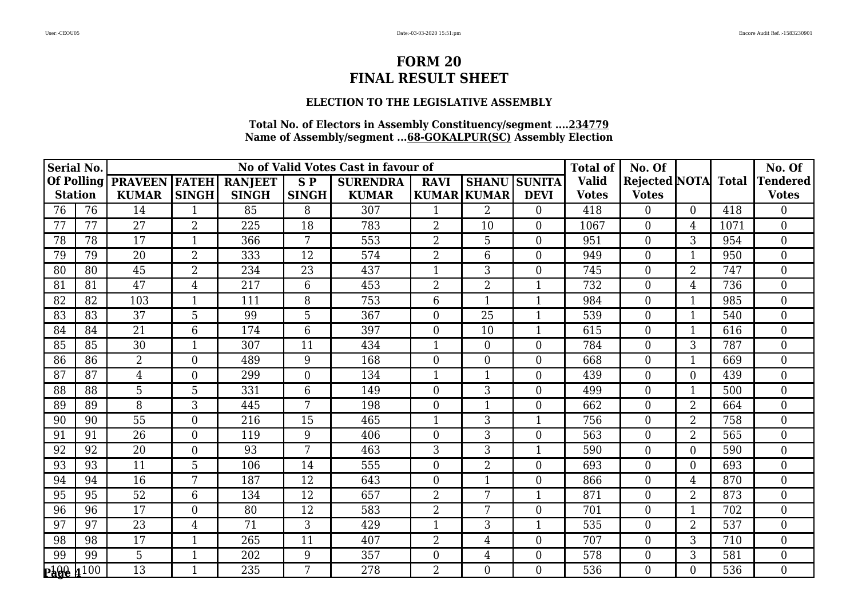### **ELECTION TO THE LEGISLATIVE ASSEMBLY**

| <b>Serial No.</b> |                   |                 |                |                |                 | No of Valid Votes Cast in favour of |                  |                     |                | <b>Total of</b> | No. Of                     |                |      | No. Of           |
|-------------------|-------------------|-----------------|----------------|----------------|-----------------|-------------------------------------|------------------|---------------------|----------------|-----------------|----------------------------|----------------|------|------------------|
|                   | <b>Of Polling</b> | <b>PRAVEEN</b>  | <b>FATEH</b>   | <b>RANJEET</b> | $S\,P$          | <b>SURENDRA</b>                     | <b>RAVI</b>      | <b>SHANU SUNITA</b> |                | <b>Valid</b>    | <b>Rejected NOTA</b> Total |                |      | <b>Tendered</b>  |
| <b>Station</b>    |                   | <b>KUMAR</b>    | <b>SINGH</b>   | <b>SINGH</b>   | <b>SINGH</b>    | <b>KUMAR</b>                        |                  | <b>KUMAR KUMAR</b>  | <b>DEVI</b>    | <b>Votes</b>    | <b>Votes</b>               |                |      | <b>Votes</b>     |
| 76                | 76                | 14              |                | 85             | 8               | 307                                 |                  | $\overline{2}$      | $\Omega$       | 418             | $\theta$                   | 0              | 418  | $\Omega$         |
| 77                | 77                | 27              | $\overline{2}$ | 225            | 18              | 783                                 | $\overline{2}$   | 10                  | $\overline{0}$ | 1067            | $\boldsymbol{0}$           | 4              | 1071 | $\overline{0}$   |
| 78                | 78                | 17              | $\mathbf{1}$   | 366            | 7               | 553                                 | $\overline{2}$   | 5                   | $\overline{0}$ | 951             | $\overline{0}$             | 3              | 954  | $\theta$         |
| 79                | 79                | 20              | $\overline{2}$ | 333            | 12              | 574                                 | $\overline{2}$   | 6                   | $\overline{0}$ | 949             | $\boldsymbol{0}$           |                | 950  | $\overline{0}$   |
| 80                | 80                | 45              | $\overline{2}$ | 234            | 23              | 437                                 | $\mathbf{1}$     | 3                   | $\overline{0}$ | 745             | $\boldsymbol{0}$           | $\overline{2}$ | 747  | $\overline{0}$   |
| 81                | 81                | 47              | 4              | 217            | 6               | 453                                 | $\overline{2}$   | $\overline{2}$      | 1              | 732             | $\theta$                   | 4              | 736  | $\theta$         |
| 82                | 82                | 103             | 1              | 111            | 8               | 753                                 | 6                |                     |                | 984             | $\overline{0}$             |                | 985  | $\theta$         |
| 83                | 83                | 37              | 5              | 99             | 5               | 367                                 | $\boldsymbol{0}$ | 25                  |                | 539             | $\boldsymbol{0}$           |                | 540  | $\mathbf{0}$     |
| 84                | 84                | $\overline{21}$ | 6              | 174            | 6               | 397                                 | $\overline{0}$   | 10                  | $\mathbf{1}$   | 615             | $\overline{0}$             | $\mathbf{1}$   | 616  | $\overline{0}$   |
| 85                | 85                | 30              | $\mathbf{1}$   | 307            | 11              | 434                                 | 1                | $\overline{0}$      | $\overline{0}$ | 784             | $\overline{0}$             | 3              | 787  | $\theta$         |
| 86                | 86                | $\overline{2}$  | $\overline{0}$ | 489            | 9               | 168                                 | $\boldsymbol{0}$ | 0                   | $\overline{0}$ | 668             | $\boldsymbol{0}$           | $\mathbf{1}$   | 669  | $\overline{0}$   |
| 87                | 87                | $\overline{4}$  | $\Omega$       | 299            | $\overline{0}$  | 134                                 | $\mathbf{1}$     | $\mathbf{1}$        | $\overline{0}$ | 439             | $\overline{0}$             | $\Omega$       | 439  | $\overline{0}$   |
| 88                | 88                | 5               | 5              | 331            | 6               | 149                                 | $\overline{0}$   | 3                   | $\overline{0}$ | 499             | $\boldsymbol{0}$           | $\mathbf{1}$   | 500  | $\overline{0}$   |
| 89                | 89                | $\overline{8}$  | 3              | 445            | $\overline{7}$  | 198                                 | $\overline{0}$   | $\mathbf{1}$        | $\overline{0}$ | 662             | $\overline{0}$             | $\overline{2}$ | 664  | $\overline{0}$   |
| 90                | 90                | 55              | $\overline{0}$ | 216            | 15              | 465                                 | $\mathbf{1}$     | 3                   |                | 756             | $\overline{0}$             | $\overline{2}$ | 758  | $\overline{0}$   |
| 91                | 91                | 26              | $\theta$       | 119            | 9               | 406                                 | $\theta$         | 3                   | $\overline{0}$ | 563             | $\boldsymbol{0}$           | $\overline{2}$ | 565  | $\overline{0}$   |
| 92                | 92                | 20              | $\overline{0}$ | 93             | 7               | 463                                 | 3                | 3                   |                | 590             | $\overline{0}$             | $\overline{0}$ | 590  | $\overline{0}$   |
| 93                | 93                | 11              | 5              | 106            | 14              | 555                                 | $\overline{0}$   | $\overline{2}$      | $\overline{0}$ | 693             | $\overline{0}$             | $\overline{0}$ | 693  | $\mathbf{0}$     |
| 94                | 94                | $\overline{16}$ | 7              | 187            | 12              | 643                                 | $\theta$         | $\mathbf{1}$        | $\overline{0}$ | 866             | $\mathbf{0}$               | 4              | 870  | $\overline{0}$   |
| 95                | 95                | $\overline{52}$ | 6              | 134            | 12              | 657                                 | $\overline{2}$   | 7                   |                | 871             | $\overline{0}$             | $\overline{2}$ | 873  | $\theta$         |
| 96                | 96                | 17              | $\overline{0}$ | 80             | 12              | 583                                 | $\overline{2}$   | 7                   | $\overline{0}$ | 701             | $\boldsymbol{0}$           | 1              | 702  | $\mathbf{0}$     |
| 97                | 97                | 23              | $\overline{4}$ | 71             | 3               | 429                                 |                  | 3                   |                | 535             | $\mathbf{0}$               | $\overline{2}$ | 537  | $\boldsymbol{0}$ |
| 98                | 98                | 17              | $\mathbf{1}$   | 265            | $\overline{11}$ | 407                                 | $\overline{2}$   | $\overline{4}$      | $\overline{0}$ | 707             | $\overline{0}$             | 3              | 710  | $\theta$         |
| 99                | 99                | 5               | 1              | 202            | 9               | 357                                 | $\overline{0}$   | 4                   | $\overline{0}$ | 578             | $\boldsymbol{0}$           | 3              | 581  | $\mathbf{0}$     |
| <b>Page</b>       | 4100              | $\overline{13}$ |                | 235            | 7               | 278                                 | $\overline{2}$   | $\overline{0}$      | $\overline{0}$ | 536             | $\overline{0}$             | 0              | 536  | $\overline{0}$   |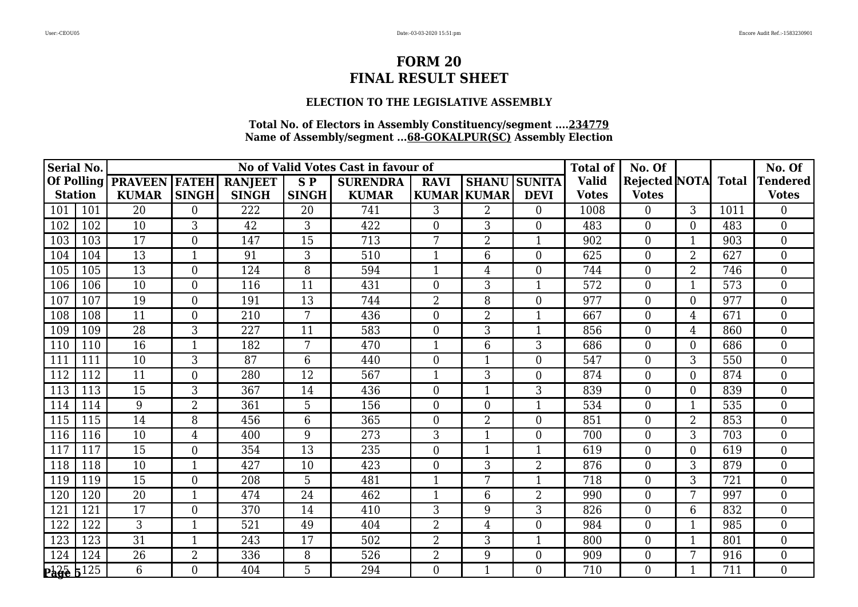### **ELECTION TO THE LEGISLATIVE ASSEMBLY**

| <b>Serial No.</b> |     |                 |                  |                |                 | No of Valid Votes Cast in favour of |                |                    | <b>Total of</b>     | No. Of       |                            |                | No. Of |                  |
|-------------------|-----|-----------------|------------------|----------------|-----------------|-------------------------------------|----------------|--------------------|---------------------|--------------|----------------------------|----------------|--------|------------------|
| <b>Of Polling</b> |     | <b>PRAVEEN</b>  | <b> FATEH </b>   | <b>RANJEET</b> | SP <sub></sub>  | <b>SURENDRA</b>                     | <b>RAVI</b>    |                    | <b>SHANU SUNITA</b> | <b>Valid</b> | <b>Rejected NOTA</b> Total |                |        | <b>Tendered</b>  |
| <b>Station</b>    |     | <b>KUMAR</b>    | <b>SINGH</b>     | <b>SINGH</b>   | <b>SINGH</b>    | <b>KUMAR</b>                        |                | <b>KUMAR KUMAR</b> | <b>DEVI</b>         | <b>Votes</b> | <b>Votes</b>               |                |        | <b>Votes</b>     |
| 101               | 101 | 20              | $\overline{0}$   | 222            | 20              | 741                                 | 3              | $\overline{2}$     | $\Omega$            | 1008         | $\overline{0}$             | 3 <sup>1</sup> | 1011   | $\theta$         |
| 102               | 102 | 10              | $\mathfrak{Z}$   | 42             | 3               | 422                                 | $\overline{0}$ | 3                  | $\overline{0}$      | 483          | $\boldsymbol{0}$           | 0              | 483    | $\overline{0}$   |
| 103               | 103 | 17              | $\overline{0}$   | 147            | 15              | 713                                 | 7              | $\overline{2}$     | $\mathbf{1}$        | 902          | $\overline{0}$             | $\mathbf 1$    | 903    | $\theta$         |
| 104               | 104 | 13              | 1                | 91             | 3               | 510                                 |                | 6                  | $\overline{0}$      | 625          | $\boldsymbol{0}$           | $\overline{2}$ | 627    | $\mathbf{0}$     |
| 105               | 105 | 13              | $\boldsymbol{0}$ | 124            | 8               | 594                                 | $\mathbf{1}$   | 4                  | $\overline{0}$      | 744          | $\boldsymbol{0}$           | $\overline{2}$ | 746    | $\boldsymbol{0}$ |
| 106               | 106 | 10              | $\overline{0}$   | 116            | 11              | 431                                 | $\overline{0}$ | 3                  | $\mathbf{1}$        | 572          | $\overline{0}$             | $\mathbf{1}$   | 573    | $\theta$         |
| 107               | 107 | 19              | $\overline{0}$   | 191            | 13              | 744                                 | $\overline{2}$ | 8                  | $\overline{0}$      | 977          | $\overline{0}$             | $\overline{0}$ | 977    | $\theta$         |
| 108               | 108 | 11              | $\boldsymbol{0}$ | 210            | 7               | 436                                 | $\overline{0}$ | $\overline{2}$     | 1                   | 667          | $\boldsymbol{0}$           | 4              | 671    | $\overline{0}$   |
| 109               | 109 | 28              | 3                | 227            | 11              | 583                                 | $\overline{0}$ | 3                  | $\mathbf{1}$        | 856          | $\overline{0}$             | $\overline{4}$ | 860    | $\theta$         |
| 110               | 110 | 16              | 1                | 182            | 7               | 470                                 |                | 6                  | 3                   | 686          | $\overline{0}$             | 0              | 686    | $\theta$         |
| 111               | 111 | 10              | 3                | 87             | 6               | 440                                 | $\overline{0}$ |                    | $\overline{0}$      | 547          | $\boldsymbol{0}$           | 3              | 550    | $\overline{0}$   |
| 112               | 112 | 11              | $\mathbf{0}$     | 280            | 12              | 567                                 | $\mathbf{1}$   | 3                  | $\overline{0}$      | 874          | $\overline{0}$             | $\overline{0}$ | 874    | $\theta$         |
| 113               | 113 | 15              | 3                | 367            | 14              | 436                                 | $\overline{0}$ |                    | $\overline{3}$      | 839          | $\boldsymbol{0}$           | $\overline{0}$ | 839    | $\theta$         |
| 114               | 114 | $\overline{9}$  | $\overline{2}$   | 361            | 5               | 156                                 | $\overline{0}$ | $\theta$           | $\mathbf{1}$        | 534          | $\boldsymbol{0}$           | $\mathbf 1$    | 535    | $\overline{0}$   |
| 115               | 115 | $\overline{14}$ | 8                | 456            | 6               | 365                                 | $\overline{0}$ | $\overline{2}$     | $\overline{0}$      | 851          | $\overline{0}$             | $\overline{2}$ | 853    | $\theta$         |
| 116               | 116 | 10              | $\overline{4}$   | 400            | 9               | 273                                 | 3              |                    | $\Omega$            | 700          | $\overline{0}$             | 3              | 703    | $\overline{0}$   |
| 117               | 117 | $\overline{15}$ | $\mathbf{0}$     | 354            | 13              | 235                                 | $\overline{0}$ |                    | $\mathbf{1}$        | 619          | $\boldsymbol{0}$           | $\overline{0}$ | 619    | $\overline{0}$   |
| 118               | 118 | 10              | 1                | 427            | 10              | 423                                 | $\overline{0}$ | 3                  | $\overline{2}$      | 876          | $\boldsymbol{0}$           | 3              | 879    | $\theta$         |
| 119               | 119 | $\overline{15}$ | $\mathbf{0}$     | 208            | 5               | 481                                 | $\mathbf{1}$   | 7                  | $\mathbf{1}$        | 718          | $\boldsymbol{0}$           | 3              | 721    | $\overline{0}$   |
| 120               | 120 | 20              | $\overline{1}$   | 474            | $\overline{24}$ | 462                                 | $\mathbf{1}$   | 6                  | 2                   | 990          | $\boldsymbol{0}$           | 7              | 997    | $\theta$         |
| 121               | 121 | 17              | $\overline{0}$   | 370            | 14              | 410                                 | 3              | 9                  | 3                   | 826          | $\overline{0}$             | 6              | 832    | $\overline{0}$   |
| 122               | 122 | $\overline{3}$  | $\mathbf{1}$     | 521            | 49              | 404                                 | $\overline{2}$ | $\overline{4}$     | $\overline{0}$      | 984          | $\boldsymbol{0}$           | $\mathbf{1}$   | 985    | $\overline{0}$   |
| 123               | 123 | $\overline{31}$ | $\mathbf{1}$     | 243            | 17              | 502                                 | $\overline{2}$ | 3                  | $\mathbf{1}$        | 800          | $\overline{0}$             | $\mathbf{1}$   | 801    | $\theta$         |
| 124               | 124 | 26              | $\overline{2}$   | 336            | 8               | 526                                 | $\overline{2}$ | 9                  | $\Omega$            | 909          | $\boldsymbol{0}$           | 7              | 916    | $\overline{0}$   |
| $P_4^2 + 125$     |     | $\overline{6}$  | $\overline{0}$   | 404            | 5               | 294                                 | $\overline{0}$ |                    | $\Omega$            | 710          | $\overline{0}$             |                | 711    | $\overline{0}$   |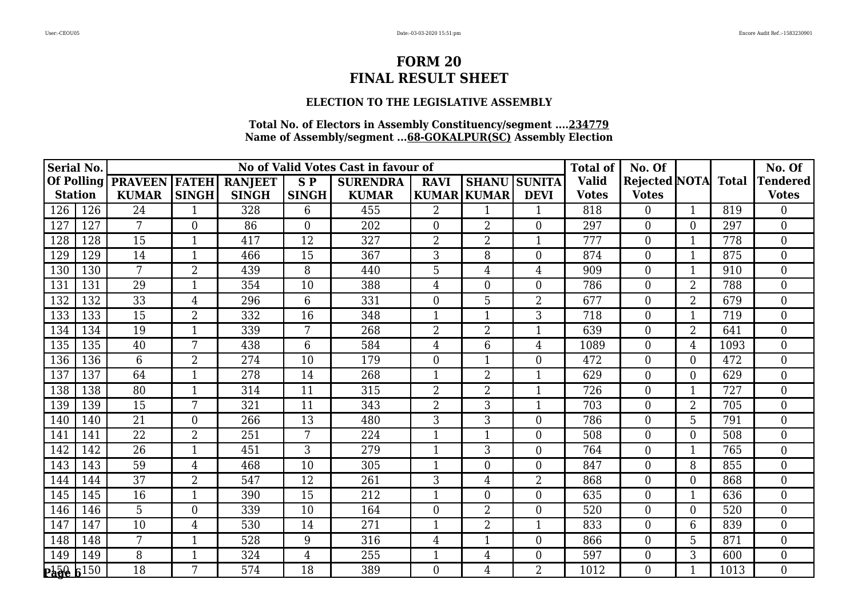### **ELECTION TO THE LEGISLATIVE ASSEMBLY**

| <b>Serial No.</b>      |     |                 |                |                |                | No of Valid Votes Cast in favour of |                |                    | <b>Total of</b>     | No. Of       |                            |                | No. Of |                  |
|------------------------|-----|-----------------|----------------|----------------|----------------|-------------------------------------|----------------|--------------------|---------------------|--------------|----------------------------|----------------|--------|------------------|
| <b>Of Polling</b>      |     | <b>PRAVEEN</b>  | <b>IFATEHI</b> | <b>RANJEET</b> | SP <sub></sub> | <b>SURENDRA</b>                     | <b>RAVI</b>    |                    | <b>SHANU SUNITA</b> | <b>Valid</b> | <b>Rejected NOTA</b> Total |                |        | <b>Tendered</b>  |
| <b>Station</b>         |     | <b>KUMAR</b>    | <b>SINGH</b>   | <b>SINGH</b>   | <b>SINGH</b>   | <b>KUMAR</b>                        |                | <b>KUMAR KUMAR</b> | <b>DEVI</b>         | <b>Votes</b> | <b>Votes</b>               |                |        | <b>Votes</b>     |
| 126                    | 126 | 24              | 1              | 328            | 6              | 455                                 | $\overline{2}$ |                    | $\mathbf{1}$        | 818          | $\overline{0}$             |                | 819    | $\theta$         |
| 127                    | 127 | 7               | $\mathbf{0}$   | 86             | $\theta$       | 202                                 | $\overline{0}$ | $\overline{2}$     | $\overline{0}$      | 297          | $\boldsymbol{0}$           | 0              | 297    | $\overline{0}$   |
| 128                    | 128 | 15              | $\mathbf{1}$   | 417            | 12             | 327                                 | $\overline{2}$ | $\overline{2}$     | $\mathbf{1}$        | 777          | $\overline{0}$             | 1              | 778    | $\theta$         |
| 129                    | 129 | 14              | 1              | 466            | 15             | 367                                 | 3              | 8                  | $\overline{0}$      | 874          | $\boldsymbol{0}$           | 1              | 875    | $\overline{0}$   |
| 130                    | 130 | $\overline{7}$  | $\overline{2}$ | 439            | 8              | 440                                 | 5              | 4                  | 4                   | 909          | $\boldsymbol{0}$           | -1             | 910    | $\boldsymbol{0}$ |
| 131                    | 131 | 29              | $\mathbf{1}$   | 354            | 10             | 388                                 | $\overline{4}$ | $\overline{0}$     | $\overline{0}$      | 786          | $\overline{0}$             | $\overline{2}$ | 788    | $\theta$         |
| 132                    | 132 | 33              | 4              | 296            | 6              | 331                                 | $\overline{0}$ | 5                  | 2                   | 677          | $\boldsymbol{0}$           | $\overline{2}$ | 679    | $\theta$         |
| 133                    | 133 | 15              | $\overline{2}$ | 332            | 16             | 348                                 |                |                    | 3                   | 718          | $\boldsymbol{0}$           | 1              | 719    | $\overline{0}$   |
| 134                    | 134 | 19              | $\mathbf{1}$   | 339            | 7              | 268                                 | $\overline{2}$ | $\overline{2}$     | $\mathbf{1}$        | 639          | $\overline{0}$             | $\overline{2}$ | 641    | $\theta$         |
| 135                    | 135 | 40              | 7              | 438            | 6              | 584                                 | 4              | 6                  | 4                   | 1089         | $\overline{0}$             | 4              | 1093   | $\theta$         |
| 136                    | 136 | 6               | $\overline{2}$ | 274            | 10             | 179                                 | $\overline{0}$ |                    | $\overline{0}$      | 472          | $\boldsymbol{0}$           | $\overline{0}$ | 472    | $\overline{0}$   |
| 137                    | 137 | 64              | $\mathbf{1}$   | 278            | 14             | 268                                 | $\mathbf{1}$   | $\overline{2}$     | $\mathbf{1}$        | 629          | $\overline{0}$             | $\overline{0}$ | 629    | $\theta$         |
| 138                    | 138 | 80              | $\mathbf{1}$   | 314            | 11             | 315                                 | $\overline{2}$ | $\overline{2}$     |                     | 726          | $\boldsymbol{0}$           |                | 727    | $\theta$         |
| 139                    | 139 | $\overline{15}$ | 7              | 321            | 11             | 343                                 | $\overline{2}$ | 3                  | 1                   | 703          | $\boldsymbol{0}$           | $\overline{2}$ | 705    | $\overline{0}$   |
| 140                    | 140 | $\overline{21}$ | $\overline{0}$ | 266            | 13             | 480                                 | 3              | 3                  | $\overline{0}$      | 786          | $\overline{0}$             | 5              | 791    | $\theta$         |
| 141                    | 141 | 22              | $\overline{2}$ | 251            | 7              | 224                                 | $\mathbf{1}$   |                    | $\Omega$            | 508          | $\overline{0}$             | 0              | 508    | $\overline{0}$   |
| 142                    | 142 | 26              | $\mathbf{1}$   | 451            | 3              | 279                                 | $\mathbf{1}$   | 3                  | $\overline{0}$      | 764          | $\boldsymbol{0}$           | 1              | 765    | $\overline{0}$   |
| 143                    | 143 | 59              | 4              | 468            | 10             | 305                                 |                | $\overline{0}$     | $\overline{0}$      | 847          | $\boldsymbol{0}$           | 8              | 855    | $\theta$         |
| 144                    | 144 | 37              | $\overline{2}$ | 547            | 12             | 261                                 | 3              | 4                  | 2                   | 868          | $\boldsymbol{0}$           | 0              | 868    | $\overline{0}$   |
| 145                    | 145 | 16              | $\overline{1}$ | 390            | 15             | 212                                 | $\mathbf{1}$   | $\overline{0}$     | $\overline{0}$      | 635          | $\boldsymbol{0}$           | $\mathbf 1$    | 636    | $\overline{0}$   |
| 146                    | 146 | 5               | $\overline{0}$ | 339            | 10             | 164                                 | $\overline{0}$ | $\overline{2}$     | $\overline{0}$      | 520          | $\overline{0}$             | $\overline{0}$ | 520    | $\overline{0}$   |
| 147                    | 147 | 10              | $\overline{4}$ | 530            | 14             | 271                                 | $\mathbf{1}$   | $\overline{2}$     | $\mathbf{1}$        | 833          | $\boldsymbol{0}$           | 6              | 839    | $\overline{0}$   |
| 148                    | 148 | $7\phantom{.0}$ | $\mathbf{1}$   | 528            | 9              | 316                                 | $\overline{4}$ | $\mathbf{1}$       | $\Omega$            | 866          | $\overline{0}$             | 5              | 871    | $\theta$         |
| 149                    | 149 | 8               | $\mathbf{1}$   | 324            | $\overline{4}$ | 255                                 |                | 4                  | $\Omega$            | 597          | $\boldsymbol{0}$           | 3              | 600    | $\theta$         |
| $P_4$ $R_8$ $R_1$ $50$ |     | $\overline{18}$ | 7              | 574            | 18             | 389                                 | $\overline{0}$ | 4                  | $\overline{2}$      | 1012         | $\overline{0}$             |                | 1013   | $\overline{0}$   |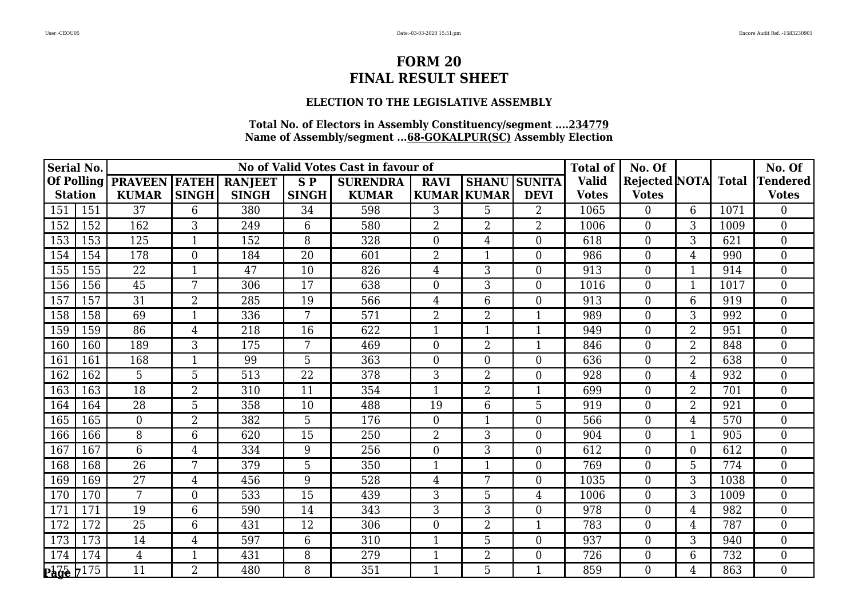### **ELECTION TO THE LEGISLATIVE ASSEMBLY**

| Serial No.            |     |                      |                |                |                | No of Valid Votes Cast in favour of |                  |                    | <b>Total of</b>     | No. Of       |                     |                | No. Of |                  |
|-----------------------|-----|----------------------|----------------|----------------|----------------|-------------------------------------|------------------|--------------------|---------------------|--------------|---------------------|----------------|--------|------------------|
| <b>Of Polling</b>     |     | <b>PRAVEEN FATEH</b> |                | <b>RANJEET</b> | SP <sub></sub> | <b>SURENDRA</b>                     | <b>RAVI</b>      |                    | <b>SHANU SUNITA</b> | <b>Valid</b> | Rejected NOTA Total |                |        | <b>Tendered</b>  |
| <b>Station</b>        |     | <b>KUMAR</b>         | <b>SINGH</b>   | <b>SINGH</b>   | <b>SINGH</b>   | <b>KUMAR</b>                        |                  | <b>KUMAR KUMAR</b> | <b>DEVI</b>         | <b>Votes</b> | <b>Votes</b>        |                |        | <b>Votes</b>     |
| 151                   | 151 | 37                   | 6              | 380            | 34             | 598                                 | 3                | 5                  | $\overline{2}$      | 1065         | $\overline{0}$      | 6              | 1071   | $\theta$         |
| 152                   | 152 | 162                  | 3              | 249            | 6              | 580                                 | $\overline{2}$   | $\overline{2}$     | 2                   | 1006         | $\boldsymbol{0}$    | 3              | 1009   | $\overline{0}$   |
| 153                   | 153 | 125                  | $\mathbf 1$    | 152            | 8              | 328                                 | $\Omega$         | $\overline{4}$     | $\Omega$            | 618          | $\overline{0}$      | $\overline{3}$ | 621    | $\theta$         |
| 154                   | 154 | 178                  | $\theta$       | 184            | 20             | 601                                 | 2                |                    | $\overline{0}$      | 986          | $\theta$            | 4              | 990    | $\overline{0}$   |
| 155                   | 155 | 22                   | $\mathbf{1}$   | 47             | 10             | 826                                 | 4                | 3                  | $\boldsymbol{0}$    | 913          | $\boldsymbol{0}$    | 1              | 914    | $\boldsymbol{0}$ |
| 156                   | 156 | 45                   | 7              | 306            | 17             | 638                                 | $\overline{0}$   | 3                  | $\overline{0}$      | 1016         | $\overline{0}$      | $\mathbf{1}$   | 1017   | $\theta$         |
| 157                   | 157 | 31                   | $\overline{2}$ | 285            | 19             | 566                                 | 4                | 6                  | $\overline{0}$      | 913          | $\overline{0}$      | 6              | 919    | $\theta$         |
| 158                   | 158 | 69                   | 1              | 336            | 7              | 571                                 | $\overline{2}$   | $\overline{2}$     |                     | 989          | $\boldsymbol{0}$    | $\overline{3}$ | 992    | $\overline{0}$   |
| 159                   | 159 | 86                   | 4              | 218            | 16             | 622                                 | $\mathbf{1}$     | $\mathbf{1}$       | 1                   | 949          | $\theta$            | $\overline{2}$ | 951    | $\theta$         |
| 160                   | 160 | 189                  | 3              | 175            | 7              | 469                                 | $\Omega$         | $\overline{2}$     |                     | 846          | $\overline{0}$      | $\overline{2}$ | 848    | $\theta$         |
| 161                   | 161 | 168                  | 1              | 99             | 5              | 363                                 | $\boldsymbol{0}$ | $\boldsymbol{0}$   | $\boldsymbol{0}$    | 636          | $\boldsymbol{0}$    | 2              | 638    | $\overline{0}$   |
| 162                   | 162 | 5                    | 5              | 513            | 22             | 378                                 | 3                | $\overline{2}$     | $\overline{0}$      | 928          | $\overline{0}$      | $\overline{4}$ | 932    | $\theta$         |
| 163                   | 163 | 18                   | $\overline{2}$ | 310            | 11             | 354                                 |                  | $\overline{2}$     |                     | 699          | $\boldsymbol{0}$    | $\overline{2}$ | 701    | $\overline{0}$   |
| 164                   | 164 | $\overline{28}$      | 5              | 358            | 10             | 488                                 | 19               | 6                  | 5                   | 919          | $\overline{0}$      | $\overline{2}$ | 921    | $\overline{0}$   |
| 165                   | 165 | $\overline{0}$       | $\overline{2}$ | 382            | 5              | 176                                 | $\Omega$         | 1                  | $\overline{0}$      | 566          | $\overline{0}$      | 4              | 570    | $\theta$         |
| 166                   | 166 | 8                    | 6              | 620            | 15             | 250                                 | $\overline{2}$   | 3                  | $\overline{0}$      | 904          | $\overline{0}$      | 1              | 905    | $\overline{0}$   |
| 167                   | 167 | 6                    | $\overline{4}$ | 334            | 9              | 256                                 | $\overline{0}$   | 3                  | $\overline{0}$      | 612          | $\boldsymbol{0}$    | $\overline{0}$ | 612    | $\overline{0}$   |
| 168                   | 168 | 26                   | 7              | 379            | 5              | 350                                 | $\mathbf 1$      |                    | $\overline{0}$      | 769          | $\boldsymbol{0}$    | 5              | 774    | $\theta$         |
| 169                   | 169 | 27                   | 4              | 456            | 9              | 528                                 | 4                | 7                  | $\overline{0}$      | 1035         | $\boldsymbol{0}$    | 3              | 1038   | $\overline{0}$   |
| 170                   | 170 | $7\overline{ }$      | $\overline{0}$ | 533            | 15             | 439                                 | 3                | 5                  | 4                   | 1006         | $\boldsymbol{0}$    | 3              | 1009   | $\theta$         |
| 171                   | 171 | 19                   | 6              | 590            | 14             | 343                                 | 3                | 3                  | $\overline{0}$      | 978          | $\overline{0}$      | $\overline{4}$ | 982    | $\overline{0}$   |
| 172                   | 172 | $\overline{25}$      | 6              | 431            | 12             | 306                                 | $\overline{0}$   | $\overline{2}$     | $\mathbf{1}$        | 783          | $\boldsymbol{0}$    | 4              | 787    | $\overline{0}$   |
| 173                   | 173 | 14                   | $\overline{4}$ | 597            | 6              | 310                                 | $\mathbf{1}$     | 5                  | $\overline{0}$      | 937          | $\overline{0}$      | 3              | 940    | $\theta$         |
| 174                   | 174 | $\overline{4}$       | 1              | 431            | 8              | 279                                 |                  | $\overline{2}$     | $\overline{0}$      | 726          | $\boldsymbol{0}$    | 6              | 732    | $\theta$         |
| $P_4$ $\frac{175}{2}$ |     | $\overline{11}$      | $\overline{2}$ | 480            | 8              | 351                                 |                  | 5                  |                     | 859          | $\overline{0}$      | 4              | 863    | $\overline{0}$   |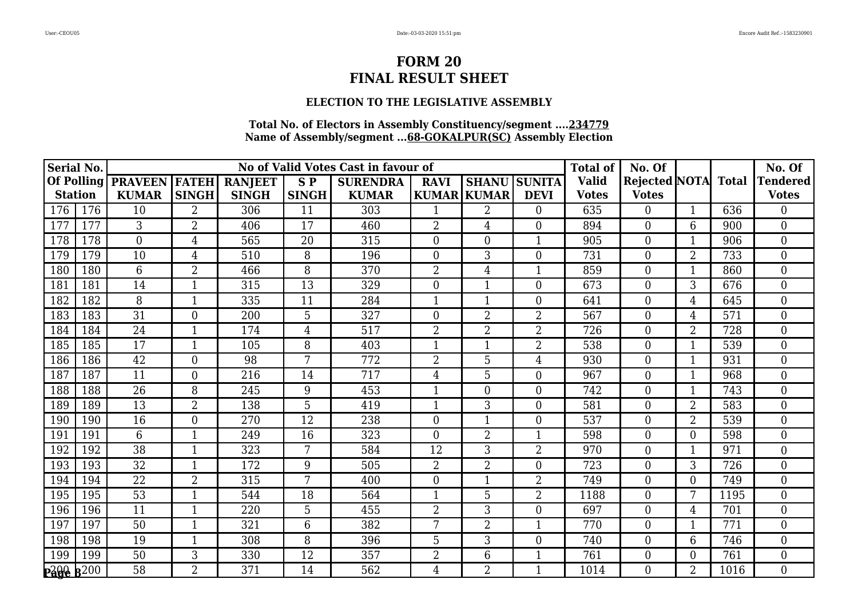### **ELECTION TO THE LEGISLATIVE ASSEMBLY**

| Serial No.       |     |                 |                  |                |                | No of Valid Votes Cast in favour of |                  |                    |                     | <b>Total of</b> | No. Of               |                |              | No. Of                        |
|------------------|-----|-----------------|------------------|----------------|----------------|-------------------------------------|------------------|--------------------|---------------------|-----------------|----------------------|----------------|--------------|-------------------------------|
| Of Polling       |     | <b>PRAVEEN</b>  | <b>FATEH</b>     | <b>RANJEET</b> | <b>SP</b>      | <b>SURENDRA</b>                     | <b>RAVI</b>      |                    | <b>SHANU SUNITA</b> | <b>Valid</b>    | <b>Rejected NOTA</b> |                | <b>Total</b> | <b><i><u>Fendered</u></i></b> |
| <b>Station</b>   |     | <b>KUMAR</b>    | <b>SINGH</b>     | <b>SINGH</b>   | <b>SINGH</b>   | <b>KUMAR</b>                        |                  | <b>KUMAR KUMAR</b> | <b>DEVI</b>         | <b>Votes</b>    | <b>Votes</b>         |                |              | <b>Votes</b>                  |
| 176              | 176 | 10              | $\overline{2}$   | 306            | 11             | 303                                 |                  | $\overline{2}$     | $\Omega$            | 635             | $\overline{0}$       |                | 636          | 0                             |
| 177              | 177 | 3               | $\overline{2}$   | 406            | 17             | 460                                 | $\overline{2}$   | $\overline{4}$     | $\overline{0}$      | 894             | $\boldsymbol{0}$     | 6              | 900          | $\overline{0}$                |
| 178              | 178 | $\overline{0}$  | 4                | 565            | 20             | 315                                 | $\overline{0}$   | $\overline{0}$     | $\mathbf{1}$        | 905             | $\boldsymbol{0}$     | 1              | 906          | $\theta$                      |
| 179              | 179 | 10              | 4                | 510            | 8              | 196                                 | $\overline{0}$   | 3                  | $\overline{0}$      | 731             | $\boldsymbol{0}$     | $\overline{2}$ | 733          | $\overline{0}$                |
| 180              | 180 | $6\phantom{1}$  | $\overline{2}$   | 466            | 8              | 370                                 | $\overline{2}$   | $\overline{4}$     | $\mathbf{1}$        | 859             | $\boldsymbol{0}$     | $\mathbf{1}$   | 860          | $\overline{0}$                |
| 181              | 181 | 14              | $\mathbf{1}$     | 315            | 13             | 329                                 | $\overline{0}$   | 1                  | $\Omega$            | 673             | $\overline{0}$       | 3              | 676          | $\theta$                      |
| 182              | 182 | 8               | 1                | 335            | 11             | 284                                 |                  |                    | $\Omega$            | 641             | $\boldsymbol{0}$     | 4              | 645          | $\theta$                      |
| 183              | 183 | 31              | $\boldsymbol{0}$ | 200            | 5              | 327                                 | $\boldsymbol{0}$ | $\overline{2}$     | 2                   | 567             | $\boldsymbol{0}$     | 4              | 571          | $\mathbf{0}$                  |
| 184              | 184 | 24              | $\mathbf{1}$     | 174            | $\overline{4}$ | 517                                 | $\overline{2}$   | $\overline{2}$     | $\overline{2}$      | 726             | $\overline{0}$       | $\overline{2}$ | 728          | $\overline{0}$                |
| 185              | 185 | 17              | $\mathbf{1}$     | 105            | 8              | 403                                 | $\mathbf{1}$     |                    | 2                   | 538             | $\overline{0}$       | 1              | 539          | $\theta$                      |
| 186              | 186 | $\overline{42}$ | $\mathbf{0}$     | 98             | $\overline{7}$ | $\overline{772}$                    | $\overline{2}$   | 5                  | 4                   | 930             | $\boldsymbol{0}$     | 1              | 931          | $\overline{0}$                |
| 187              | 187 | 11              | $\boldsymbol{0}$ | 216            | 14             | 717                                 | 4                | 5                  | $\overline{0}$      | 967             | $\boldsymbol{0}$     | $\mathbf 1$    | 968          | $\theta$                      |
| 188              | 188 | 26              | 8                | 245            | 9              | 453                                 | $\mathbf{1}$     | $\overline{0}$     | $\overline{0}$      | 742             | $\boldsymbol{0}$     | $\mathbf{1}$   | 743          | $\overline{0}$                |
| 189              | 189 | $\overline{13}$ | $\overline{2}$   | 138            | $\overline{5}$ | 419                                 | $\mathbf{1}$     | 3                  | $\overline{0}$      | 581             | $\overline{0}$       | $\overline{2}$ | 583          | $\overline{0}$                |
| 190              | 190 | 16              | $\mathbf{0}$     | 270            | 12             | 238                                 | $\overline{0}$   |                    | $\overline{0}$      | 537             | $\boldsymbol{0}$     | $\overline{2}$ | 539          | $\theta$                      |
| 191              | 191 | 6               | $\mathbf 1$      | 249            | 16             | 323                                 | $\overline{0}$   | $\overline{2}$     |                     | 598             | $\boldsymbol{0}$     | 0              | 598          | $\overline{0}$                |
| 192              | 192 | 38              | $\mathbf{1}$     | 323            | 7              | 584                                 | 12               | 3                  | 2                   | 970             | $\boldsymbol{0}$     | 1              | 971          | $\overline{0}$                |
| 193              | 193 | 32              | $\mathbf{1}$     | 172            | 9              | 505                                 | $\overline{2}$   | $\overline{2}$     | $\overline{0}$      | 723             | $\overline{0}$       | 3              | 726          | $\overline{0}$                |
| 194              | 194 | $\overline{22}$ | $\overline{2}$   | 315            | $\overline{7}$ | 400                                 | $\overline{0}$   | $\mathbf{1}$       | $\overline{2}$      | 749             | $\boldsymbol{0}$     | $\Omega$       | 749          | $\overline{0}$                |
| 195              | 195 | $\overline{53}$ | $\mathbf{1}$     | 544            | 18             | 564                                 | $\mathbf{1}$     | 5                  | $\overline{2}$      | 1188            | $\overline{0}$       | 7              | 1195         | $\theta$                      |
| 196              | 196 | 11              | 1                | 220            | 5              | 455                                 | 2                | 3                  | $\Omega$            | 697             | $\boldsymbol{0}$     | 4              | 701          | $\theta$                      |
| 197              | 197 | 50              | $\overline{1}$   | 321            | 6              | 382                                 | 7                | $\overline{2}$     | $\mathbf{1}$        | 770             | $\boldsymbol{0}$     | $\mathbf{1}$   | 771          | $\boldsymbol{0}$              |
| 198              | 198 | 19              | $\mathbf{1}$     | 308            | 8              | 396                                 | 5                | 3                  | $\overline{0}$      | 740             | $\overline{0}$       | 6              | 746          | $\theta$                      |
| 199              | 199 | 50              | 3                | 330            | 12             | 357                                 | $\overline{2}$   | 6                  | $\mathbf{1}$        | 761             | $\boldsymbol{0}$     | 0              | 761          | $\overline{0}$                |
| <b>Page 8200</b> |     | $\overline{58}$ | $\overline{2}$   | 371            | 14             | 562                                 | 4                | $\overline{2}$     |                     | 1014            | $\overline{0}$       | $\overline{2}$ | 1016         | $\overline{0}$                |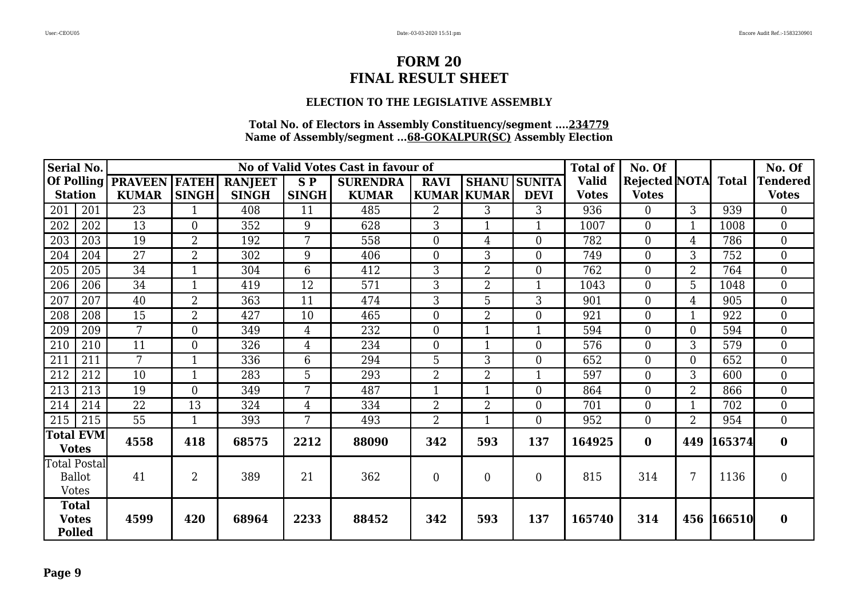### **ELECTION TO THE LEGISLATIVE ASSEMBLY**

| <b>Serial No.</b>                             |     |                 |                  |                |                    | No of Valid Votes Cast in favour of |                |                    |                | <b>Total of</b> | No. Of              |                 |            | No. Of           |
|-----------------------------------------------|-----|-----------------|------------------|----------------|--------------------|-------------------------------------|----------------|--------------------|----------------|-----------------|---------------------|-----------------|------------|------------------|
| Of Polling                                    |     | <b>PRAVEEN</b>  | <b>FATEH</b>     | <b>RANJEET</b> | $S$ $\overline{P}$ | <b>SURENDRA</b>                     | <b>RAVI</b>    | <b>SHANU</b>       | <b>SUNITA</b>  | <b>Valid</b>    | Rejected NOTA Total |                 |            | <b>Tendered</b>  |
| <b>Station</b>                                |     | <b>KUMAR</b>    | <b>SINGH</b>     | <b>SINGH</b>   | <b>SINGH</b>       | <b>KUMAR</b>                        |                | <b>KUMAR KUMAR</b> | <b>DEVI</b>    | <b>Votes</b>    | <b>Votes</b>        |                 |            | <b>Votes</b>     |
| 201                                           | 201 | 23              | $\mathbf{1}$     | 408            | 11                 | 485                                 | $\overline{2}$ | 3                  | 3              | 936             | $\overline{0}$      | 3 <sup>1</sup>  | 939        | $\overline{0}$   |
| 202                                           | 202 | 13              | $\overline{0}$   | 352            | 9                  | 628                                 | 3              |                    | 1              | 1007            | $\boldsymbol{0}$    |                 | 1008       | $\overline{0}$   |
| 203                                           | 203 | 19              | $\overline{2}$   | 192            | 7                  | 558                                 | $\overline{0}$ | 4                  | $\overline{0}$ | 782             | $\boldsymbol{0}$    | $\overline{4}$  | 786        | $\overline{0}$   |
| 204                                           | 204 | 27              | $\overline{2}$   | 302            | 9                  | 406                                 | $\overline{0}$ | 3                  | $\overline{0}$ | 749             | $\overline{0}$      | 3               | 752        | $\overline{0}$   |
| 205                                           | 205 | 34              | $\mathbf{1}$     | 304            | $\overline{6}$     | 412                                 | 3              | $\overline{2}$     | $\overline{0}$ | 762             | $\boldsymbol{0}$    | $\overline{2}$  | 764        | $\boldsymbol{0}$ |
| 206                                           | 206 | 34              | $\mathbf{1}$     | 419            | 12                 | 571                                 | 3              | $\overline{2}$     | 1              | 1043            | $\overline{0}$      | 5               | 1048       | $\theta$         |
| 207                                           | 207 | 40              | $\overline{2}$   | 363            | 11                 | 474                                 | 3              | 5                  | 3              | 901             | $\overline{0}$      | $\overline{4}$  | 905        | $\overline{0}$   |
| 208                                           | 208 | 15              | $\overline{2}$   | 427            | 10                 | 465                                 | $\overline{0}$ | $\overline{2}$     | $\overline{0}$ | 921             | $\boldsymbol{0}$    |                 | 922        | $\mathbf{0}$     |
| 209                                           | 209 | $\overline{7}$  | $\boldsymbol{0}$ | 349            | $\overline{4}$     | 232                                 | $\overline{0}$ |                    | $\mathbf{1}$   | 594             | $\boldsymbol{0}$    | $\overline{0}$  | 594        | $\mathbf{0}$     |
| 210                                           | 210 | 11              | $\overline{0}$   | 326            | $\overline{4}$     | 234                                 | $\overline{0}$ | 1                  | $\overline{0}$ | 576             | $\overline{0}$      | 3               | 579        | $\overline{0}$   |
| 211                                           | 211 | 7               | $\mathbf{1}$     | 336            | 6                  | 294                                 | 5              | 3                  | $\overline{0}$ | 652             | $\overline{0}$      | 0               | 652        | $\overline{0}$   |
| 212                                           | 212 | 10              | $\mathbf{1}$     | 283            | 5                  | 293                                 | $\overline{2}$ | $\overline{2}$     | $\mathbf{1}$   | 597             | $\theta$            | 3               | 600        | $\theta$         |
| 213                                           | 213 | 19              | $\overline{0}$   | 349            | 7                  | 487                                 | $\mathbf{1}$   |                    | $\overline{0}$ | 864             | $\boldsymbol{0}$    | $\overline{2}$  | 866        | $\overline{0}$   |
| 214                                           | 214 | 22              | 13               | 324            | $\overline{4}$     | 334                                 | $\overline{2}$ | $\overline{2}$     | $\overline{0}$ | 701             | $\overline{0}$      |                 | 702        | $\overline{0}$   |
| 215                                           | 215 | $\overline{55}$ | $\mathbf{1}$     | 393            | 7                  | 493                                 | $\overline{2}$ |                    | $\overline{0}$ | 952             | $\overline{0}$      | $\overline{2}$  | 954        | $\overline{0}$   |
| <b>Total EVM</b><br><b>Votes</b>              |     | 4558            | 418              | 68575          | 2212               | 88090                               | 342            | 593                | 137            | 164925          | $\bf{0}$            | 449             | 165374     | $\bf{0}$         |
| Total Postal<br><b>Ballot</b><br><b>Votes</b> |     | 41              | $\overline{2}$   | 389            | 21                 | 362                                 | $\overline{0}$ | $\Omega$           | $\overline{0}$ | 815             | 314                 | $7\overline{ }$ | 1136       | $\overline{0}$   |
| <b>Total</b><br><b>Votes</b><br><b>Polled</b> |     | 4599            | 420              | 68964          | 2233               | 88452                               | 342            | 593                | 137            | 165740          | 314                 |                 | 456 166510 | $\bf{0}$         |